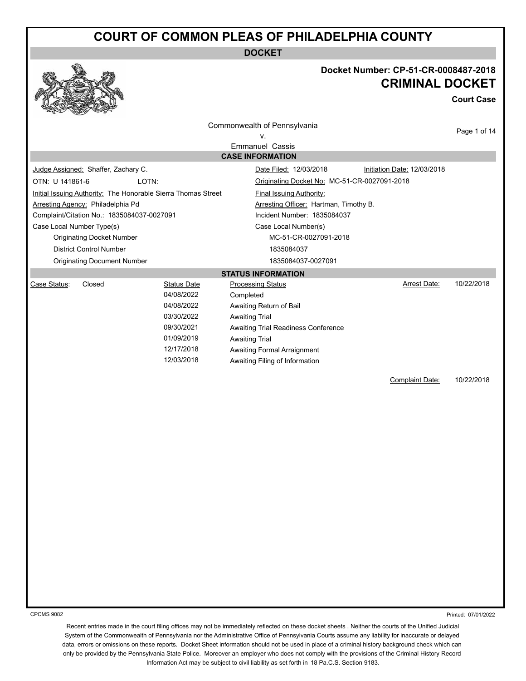**DOCKET**



#### **Docket Number: CP-51-CR-0008487-2018 CRIMINAL DOCKET**

**Court Case**

|                                                                                                                |                                     |                                                               | Commonwealth of Pennsylvania                                              |                             | Page 1 of 14 |
|----------------------------------------------------------------------------------------------------------------|-------------------------------------|---------------------------------------------------------------|---------------------------------------------------------------------------|-----------------------------|--------------|
| v.                                                                                                             |                                     |                                                               |                                                                           |                             |              |
|                                                                                                                |                                     |                                                               | <b>Emmanuel Cassis</b><br><b>CASE INFORMATION</b>                         |                             |              |
|                                                                                                                | Judge Assigned: Shaffer, Zachary C. |                                                               | Date Filed: 12/03/2018                                                    | Initiation Date: 12/03/2018 |              |
| OTN: U 141861-6                                                                                                |                                     |                                                               | Originating Docket No: MC-51-CR-0027091-2018                              |                             |              |
|                                                                                                                | LOTN:                               |                                                               |                                                                           |                             |              |
|                                                                                                                |                                     | Initial Issuing Authority: The Honorable Sierra Thomas Street | <b>Final Issuing Authority:</b><br>Arresting Officer: Hartman, Timothy B. |                             |              |
| Arresting Agency: Philadelphia Pd<br>Complaint/Citation No.: 1835084037-0027091<br>Incident Number: 1835084037 |                                     |                                                               |                                                                           |                             |              |
| Case Local Number Type(s)                                                                                      |                                     |                                                               | Case Local Number(s)                                                      |                             |              |
|                                                                                                                | <b>Originating Docket Number</b>    |                                                               | MC-51-CR-0027091-2018                                                     |                             |              |
|                                                                                                                | <b>District Control Number</b>      |                                                               | 1835084037                                                                |                             |              |
|                                                                                                                | <b>Originating Document Number</b>  |                                                               | 1835084037-0027091                                                        |                             |              |
|                                                                                                                |                                     |                                                               | <b>STATUS INFORMATION</b>                                                 |                             |              |
| Case Status:                                                                                                   | Closed                              | <b>Status Date</b>                                            | <b>Processing Status</b>                                                  | <b>Arrest Date:</b>         | 10/22/2018   |
|                                                                                                                |                                     | 04/08/2022                                                    | Completed                                                                 |                             |              |
|                                                                                                                |                                     | 04/08/2022                                                    | Awaiting Return of Bail                                                   |                             |              |
|                                                                                                                |                                     | 03/30/2022                                                    | <b>Awaiting Trial</b>                                                     |                             |              |
|                                                                                                                |                                     | 09/30/2021                                                    | Awaiting Trial Readiness Conference                                       |                             |              |
|                                                                                                                |                                     | 01/09/2019                                                    | <b>Awaiting Trial</b>                                                     |                             |              |
|                                                                                                                |                                     | 12/17/2018                                                    | <b>Awaiting Formal Arraignment</b>                                        |                             |              |
|                                                                                                                |                                     | 12/03/2018                                                    | Awaiting Filing of Information                                            |                             |              |
|                                                                                                                |                                     |                                                               |                                                                           | <b>Complaint Date:</b>      | 10/22/2018   |
|                                                                                                                |                                     |                                                               |                                                                           |                             |              |
|                                                                                                                |                                     |                                                               |                                                                           |                             |              |
|                                                                                                                |                                     |                                                               |                                                                           |                             |              |
|                                                                                                                |                                     |                                                               |                                                                           |                             |              |
|                                                                                                                |                                     |                                                               |                                                                           |                             |              |
|                                                                                                                |                                     |                                                               |                                                                           |                             |              |
|                                                                                                                |                                     |                                                               |                                                                           |                             |              |
|                                                                                                                |                                     |                                                               |                                                                           |                             |              |
|                                                                                                                |                                     |                                                               |                                                                           |                             |              |
|                                                                                                                |                                     |                                                               |                                                                           |                             |              |
|                                                                                                                |                                     |                                                               |                                                                           |                             |              |
|                                                                                                                |                                     |                                                               |                                                                           |                             |              |
|                                                                                                                |                                     |                                                               |                                                                           |                             |              |
|                                                                                                                |                                     |                                                               |                                                                           |                             |              |
|                                                                                                                |                                     |                                                               |                                                                           |                             |              |
|                                                                                                                |                                     |                                                               |                                                                           |                             |              |
|                                                                                                                |                                     |                                                               |                                                                           |                             |              |
|                                                                                                                |                                     |                                                               |                                                                           |                             |              |
|                                                                                                                |                                     |                                                               |                                                                           |                             |              |

CPCMS 9082

Printed: 07/01/2022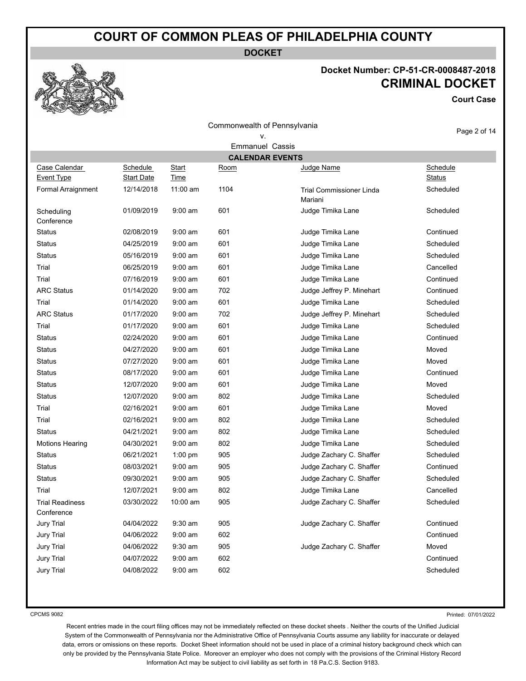**DOCKET**

Commonwealth of Pennsylvania

#### **Docket Number: CP-51-CR-0008487-2018 KET**

**Court Case**



| <b>CRIMINAL DOC</b> |
|---------------------|
| Cour                |

|                                    |                               |                             |      | Commonwealth of Pennsylvania               | Page 2 of 14              |
|------------------------------------|-------------------------------|-----------------------------|------|--------------------------------------------|---------------------------|
|                                    |                               |                             |      | v.<br><b>Emmanuel Cassis</b>               |                           |
|                                    |                               |                             |      | <b>CALENDAR EVENTS</b>                     |                           |
| Case Calendar<br><b>Event Type</b> | Schedule<br><b>Start Date</b> | <b>Start</b><br><b>Time</b> | Room | Judge Name                                 | Schedule<br><b>Status</b> |
| Formal Arraignment                 | 12/14/2018                    | 11:00 am                    | 1104 | <b>Trial Commissioner Linda</b><br>Mariani | Scheduled                 |
| Scheduling<br>Conference           | 01/09/2019                    | $9:00$ am                   | 601  | Judge Timika Lane                          | Scheduled                 |
| Status                             | 02/08/2019                    | $9:00$ am                   | 601  | Judge Timika Lane                          | Continued                 |
| Status                             | 04/25/2019                    | $9:00$ am                   | 601  | Judge Timika Lane                          | Scheduled                 |
| <b>Status</b>                      | 05/16/2019                    | $9:00$ am                   | 601  | Judge Timika Lane                          | Scheduled                 |
| Trial                              | 06/25/2019                    | $9:00$ am                   | 601  | Judge Timika Lane                          | Cancelled                 |
| Trial                              | 07/16/2019                    | $9:00$ am                   | 601  | Judge Timika Lane                          | Continued                 |
| <b>ARC Status</b>                  | 01/14/2020                    | $9:00$ am                   | 702  | Judge Jeffrey P. Minehart                  | Continued                 |
| Trial                              | 01/14/2020                    | $9:00$ am                   | 601  | Judge Timika Lane                          | Scheduled                 |
| <b>ARC Status</b>                  | 01/17/2020                    | $9:00$ am                   | 702  | Judge Jeffrey P. Minehart                  | Scheduled                 |
| Trial                              | 01/17/2020                    | $9:00$ am                   | 601  | Judge Timika Lane                          | Scheduled                 |
| <b>Status</b>                      | 02/24/2020                    | $9:00$ am                   | 601  | Judge Timika Lane                          | Continued                 |
| <b>Status</b>                      | 04/27/2020                    | $9:00$ am                   | 601  | Judge Timika Lane                          | Moved                     |
| <b>Status</b>                      | 07/27/2020                    | $9:00$ am                   | 601  | Judge Timika Lane                          | Moved                     |
| Status                             | 08/17/2020                    | $9:00 \text{ am}$           | 601  | Judge Timika Lane                          | Continued                 |
| <b>Status</b>                      | 12/07/2020                    | $9:00$ am                   | 601  | Judge Timika Lane                          | Moved                     |
| Status                             | 12/07/2020                    | $9:00$ am                   | 802  | Judge Timika Lane                          | Scheduled                 |
| Trial                              | 02/16/2021                    | $9:00$ am                   | 601  | Judge Timika Lane                          | Moved                     |
| Trial                              | 02/16/2021                    | $9:00$ am                   | 802  | Judge Timika Lane                          | Scheduled                 |
| <b>Status</b>                      | 04/21/2021                    | $9:00$ am                   | 802  | Judge Timika Lane                          | Scheduled                 |
| <b>Motions Hearing</b>             | 04/30/2021                    | $9:00$ am                   | 802  | Judge Timika Lane                          | Scheduled                 |
| <b>Status</b>                      | 06/21/2021                    | $1:00$ pm                   | 905  | Judge Zachary C. Shaffer                   | Scheduled                 |
| <b>Status</b>                      | 08/03/2021                    | $9:00$ am                   | 905  | Judge Zachary C. Shaffer                   | Continued                 |
| <b>Status</b>                      | 09/30/2021                    | $9:00$ am                   | 905  | Judge Zachary C. Shaffer                   | Scheduled                 |
| Trial                              | 12/07/2021                    | $9:00$ am                   | 802  | Judge Timika Lane                          | Cancelled                 |
| Trial Readiness<br>Conference      | 03/30/2022                    | 10:00 am                    | 905  | Judge Zachary C. Shaffer                   | Scheduled                 |
| <b>Jury Trial</b>                  | 04/04/2022                    | 9:30 am                     | 905  | Judge Zachary C. Shaffer                   | Continued                 |
| <b>Jury Trial</b>                  | 04/06/2022                    | $9:00$ am                   | 602  |                                            | Continued                 |
| <b>Jury Trial</b>                  | 04/06/2022                    | $9:30$ am                   | 905  | Judge Zachary C. Shaffer                   | Moved                     |
| <b>Jury Trial</b>                  | 04/07/2022                    | $9:00$ am                   | 602  |                                            | Continued                 |
| <b>Jury Trial</b>                  | 04/08/2022                    | $9:00$ am                   | 602  |                                            | Scheduled                 |

CPCMS 9082

Printed: 07/01/2022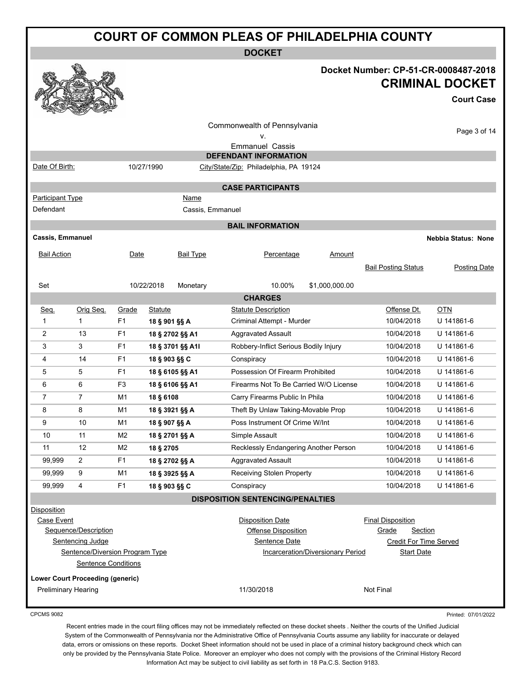|                                                                      | <b>COURT OF COMMON PLEAS OF PHILADELPHIA COUNTY</b>                                                       |                |                |                  |                                                                        |                                   |                                                                                                    |                                                   |
|----------------------------------------------------------------------|-----------------------------------------------------------------------------------------------------------|----------------|----------------|------------------|------------------------------------------------------------------------|-----------------------------------|----------------------------------------------------------------------------------------------------|---------------------------------------------------|
|                                                                      |                                                                                                           |                |                |                  | <b>DOCKET</b>                                                          |                                   |                                                                                                    |                                                   |
|                                                                      |                                                                                                           |                |                |                  |                                                                        |                                   | Docket Number: CP-51-CR-0008487-2018                                                               | <b>CRIMINAL DOCKET</b><br><b>Court Case</b>       |
|                                                                      |                                                                                                           |                |                |                  | Commonwealth of Pennsylvania<br>۷.<br><b>Emmanuel Cassis</b>           |                                   |                                                                                                    | Page 3 of 14                                      |
| Date Of Birth:                                                       |                                                                                                           |                | 10/27/1990     |                  | <b>DEFENDANT INFORMATION</b>                                           |                                   |                                                                                                    |                                                   |
|                                                                      |                                                                                                           |                |                |                  | City/State/Zip: Philadelphia, PA 19124                                 |                                   |                                                                                                    |                                                   |
|                                                                      |                                                                                                           |                |                |                  | <b>CASE PARTICIPANTS</b>                                               |                                   |                                                                                                    |                                                   |
| <b>Participant Type</b><br>Defendant                                 |                                                                                                           |                |                | Name             |                                                                        |                                   |                                                                                                    |                                                   |
|                                                                      |                                                                                                           |                |                | Cassis, Emmanuel |                                                                        |                                   |                                                                                                    |                                                   |
|                                                                      |                                                                                                           |                |                |                  | <b>BAIL INFORMATION</b>                                                |                                   |                                                                                                    |                                                   |
| <b>Cassis, Emmanuel</b><br><b>Bail Action</b>                        |                                                                                                           | Date           |                | Bail Type        | Percentage                                                             | <u>Amount</u>                     | <b>Bail Posting Status</b>                                                                         | <b>Nebbia Status: None</b><br><b>Posting Date</b> |
| Set                                                                  |                                                                                                           |                | 10/22/2018     | Monetary         | 10.00%                                                                 | \$1,000,000.00                    |                                                                                                    |                                                   |
|                                                                      |                                                                                                           |                |                |                  | <b>CHARGES</b>                                                         |                                   |                                                                                                    |                                                   |
| <u>Seq.</u>                                                          | Orig Seq.                                                                                                 | Grade          | <b>Statute</b> |                  | <b>Statute Description</b>                                             |                                   | Offense Dt.                                                                                        | <b>OTN</b>                                        |
| 1                                                                    | $\mathbf{1}$                                                                                              | F <sub>1</sub> | 18 § 901 §§ A  |                  | Criminal Attempt - Murder                                              |                                   | 10/04/2018                                                                                         | U 141861-6                                        |
| 2                                                                    | 13                                                                                                        | F1             |                | 18 § 2702 §§ A1  | <b>Aggravated Assault</b>                                              |                                   | 10/04/2018                                                                                         | U 141861-6                                        |
| 3                                                                    | 3                                                                                                         | F1             |                | 18 § 3701 §§ A1I | Robbery-Inflict Serious Bodily Injury                                  |                                   | 10/04/2018                                                                                         | U 141861-6                                        |
| 4                                                                    | 14                                                                                                        | F1             | 18 § 903 §§ C  |                  | Conspiracy                                                             |                                   | 10/04/2018                                                                                         | U 141861-6                                        |
| 5                                                                    | 5                                                                                                         | F1             |                | 18 § 6105 §§ A1  | Possession Of Firearm Prohibited                                       |                                   | 10/04/2018                                                                                         | U 141861-6                                        |
| 6                                                                    | 6                                                                                                         | F3             |                | 18 § 6106 §§ A1  | Firearms Not To Be Carried W/O License                                 |                                   | 10/04/2018                                                                                         | U 141861-6                                        |
| $\overline{7}$                                                       | $\overline{7}$                                                                                            | M1             | 18 § 6108      |                  | Carry Firearms Public In Phila                                         |                                   | 10/04/2018                                                                                         | U 141861-6                                        |
| 8                                                                    | 8                                                                                                         | M1             |                | 18 § 3921 §§ A   | Theft By Unlaw Taking-Movable Prop                                     |                                   | 10/04/2018                                                                                         | U 141861-6                                        |
| 9                                                                    | 10                                                                                                        | M <sub>1</sub> | 18 § 907 §§ A  |                  | Poss Instrument Of Crime W/Int                                         |                                   | 10/04/2018                                                                                         | U 141861-6                                        |
| 10                                                                   | 11                                                                                                        | M <sub>2</sub> |                | 18 § 2701 §§ A   | Simple Assault                                                         |                                   | 10/04/2018                                                                                         | U 141861-6                                        |
| 11                                                                   | 12                                                                                                        | M <sub>2</sub> | 18 § 2705      |                  | Recklessly Endangering Another Person                                  |                                   | 10/04/2018                                                                                         | U 141861-6                                        |
| 99,999                                                               | $\overline{2}$                                                                                            | F <sub>1</sub> |                | 18 § 2702 §§ A   | <b>Aggravated Assault</b>                                              |                                   | 10/04/2018                                                                                         | U 141861-6                                        |
| 99,999                                                               | 9                                                                                                         | M <sub>1</sub> |                | 18 § 3925 §§ A   | <b>Receiving Stolen Property</b>                                       |                                   | 10/04/2018                                                                                         | U 141861-6                                        |
| 99,999                                                               | 4                                                                                                         | F <sub>1</sub> | 18 § 903 §§ C  |                  | Conspiracy                                                             |                                   | 10/04/2018                                                                                         | U 141861-6                                        |
|                                                                      |                                                                                                           |                |                |                  | <b>DISPOSITION SENTENCING/PENALTIES</b>                                |                                   |                                                                                                    |                                                   |
| Disposition<br>Case Event<br><b>Lower Court Proceeding (generic)</b> | Sequence/Description<br>Sentencing Judge<br>Sentence/Diversion Program Type<br><b>Sentence Conditions</b> |                |                |                  | <b>Disposition Date</b><br><b>Offense Disposition</b><br>Sentence Date | Incarceration/Diversionary Period | <b>Final Disposition</b><br>Grade<br>Section<br><b>Credit For Time Served</b><br><b>Start Date</b> |                                                   |
| <b>Preliminary Hearing</b>                                           |                                                                                                           |                |                |                  | 11/30/2018                                                             |                                   | Not Final                                                                                          |                                                   |

Recent entries made in the court filing offices may not be immediately reflected on these docket sheets . Neither the courts of the Unified Judicial System of the Commonwealth of Pennsylvania nor the Administrative Office of Pennsylvania Courts assume any liability for inaccurate or delayed data, errors or omissions on these reports. Docket Sheet information should not be used in place of a criminal history background check which can only be provided by the Pennsylvania State Police. Moreover an employer who does not comply with the provisions of the Criminal History Record Information Act may be subject to civil liability as set forth in 18 Pa.C.S. Section 9183.

Printed: 07/01/2022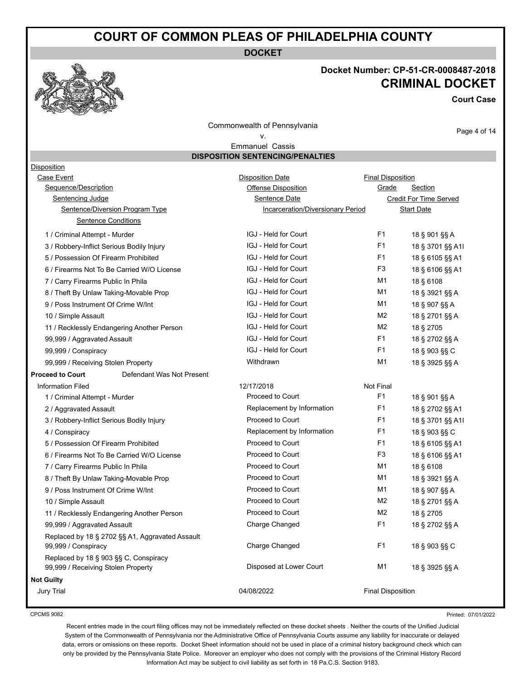**DOCKET**

#### **Docket Number: CP-51-CR-0008487-2018 CRIMINAL DOCKET**

**Court Case**

Commonwealth of Pennsylvania v.

Page 4 of 14

Emmanuel Cassis **DISPOSITION SENTENCING/PENALTIES**

| Disposition                          |                                                 |                                   |                          |                        |
|--------------------------------------|-------------------------------------------------|-----------------------------------|--------------------------|------------------------|
| Case Event                           |                                                 | <b>Disposition Date</b>           | <b>Final Disposition</b> |                        |
| Sequence/Description                 |                                                 | <b>Offense Disposition</b>        | Grade                    | Section                |
| <b>Sentencing Judge</b>              |                                                 | <b>Sentence Date</b>              |                          | Credit For Time Served |
|                                      | Sentence/Diversion Program Type                 | Incarceration/Diversionary Period |                          | <b>Start Date</b>      |
|                                      | <b>Sentence Conditions</b>                      |                                   |                          |                        |
| 1 / Criminal Attempt - Murder        |                                                 | IGJ - Held for Court              | F <sub>1</sub>           | 18 § 901 §§ A          |
|                                      | 3 / Robbery-Inflict Serious Bodily Injury       | IGJ - Held for Court              | F <sub>1</sub>           | 18 § 3701 §§ A1I       |
| 5 / Possession Of Firearm Prohibited |                                                 | IGJ - Held for Court              | F <sub>1</sub>           | 18 § 6105 §§ A1        |
|                                      | 6 / Firearms Not To Be Carried W/O License      | IGJ - Held for Court              | F3                       | 18 § 6106 §§ A1        |
| 7 / Carry Firearms Public In Phila   |                                                 | IGJ - Held for Court              | M1                       | 18 § 6108              |
|                                      | 8 / Theft By Unlaw Taking-Movable Prop          | IGJ - Held for Court              | M1                       | 18 § 3921 §§ A         |
| 9 / Poss Instrument Of Crime W/Int   |                                                 | IGJ - Held for Court              | M1                       | 18 § 907 §§ A          |
| 10 / Simple Assault                  |                                                 | IGJ - Held for Court              | M <sub>2</sub>           | 18 § 2701 §§ A         |
|                                      | 11 / Recklessly Endangering Another Person      | IGJ - Held for Court              | M <sub>2</sub>           | 18 § 2705              |
| 99,999 / Aggravated Assault          |                                                 | IGJ - Held for Court              | F <sub>1</sub>           | 18 § 2702 §§ A         |
| 99,999 / Conspiracy                  |                                                 | IGJ - Held for Court              | F <sub>1</sub>           | 18 § 903 §§ C          |
| 99,999 / Receiving Stolen Property   |                                                 | Withdrawn                         | M1                       | 18 § 3925 §§ A         |
| <b>Proceed to Court</b>              | Defendant Was Not Present                       |                                   |                          |                        |
| <b>Information Filed</b>             |                                                 | 12/17/2018                        | Not Final                |                        |
| 1 / Criminal Attempt - Murder        |                                                 | Proceed to Court                  | F1                       | 18 § 901 §§ A          |
| 2 / Aggravated Assault               |                                                 | Replacement by Information        | F1                       | 18 § 2702 §§ A1        |
|                                      | 3 / Robbery-Inflict Serious Bodily Injury       | Proceed to Court                  | F1                       | 18 § 3701 §§ A1I       |
| 4 / Conspiracy                       |                                                 | Replacement by Information        | F1                       | 18 § 903 §§ C          |
| 5 / Possession Of Firearm Prohibited |                                                 | Proceed to Court                  | F1                       | 18 § 6105 §§ A1        |
|                                      | 6 / Firearms Not To Be Carried W/O License      | Proceed to Court                  | F3                       | 18 § 6106 §§ A1        |
| 7 / Carry Firearms Public In Phila   |                                                 | Proceed to Court                  | M1                       | 18 § 6108              |
|                                      | 8 / Theft By Unlaw Taking-Movable Prop          | Proceed to Court                  | M1                       | 18 § 3921 §§ A         |
| 9 / Poss Instrument Of Crime W/Int   |                                                 | Proceed to Court                  | M1                       | 18 § 907 §§ A          |
| 10 / Simple Assault                  |                                                 | Proceed to Court                  | M2                       | 18 § 2701 §§ A         |
|                                      | 11 / Recklessly Endangering Another Person      | Proceed to Court                  | M2                       | 18 § 2705              |
| 99,999 / Aggravated Assault          |                                                 | Charge Changed                    | F1                       | 18 § 2702 §§ A         |
| 99,999 / Conspiracy                  | Replaced by 18 § 2702 §§ A1, Aggravated Assault | Charge Changed                    | F <sub>1</sub>           | 18 § 903 §§ C          |
| 99,999 / Receiving Stolen Property   | Replaced by 18 § 903 §§ C, Conspiracy           | Disposed at Lower Court           | M1                       | 18 § 3925 §§ A         |
| <b>Not Guilty</b>                    |                                                 |                                   |                          |                        |
| <b>Jury Trial</b>                    |                                                 | 04/08/2022                        | <b>Final Disposition</b> |                        |
|                                      |                                                 |                                   |                          |                        |

CPCMS 9082

Printed: 07/01/2022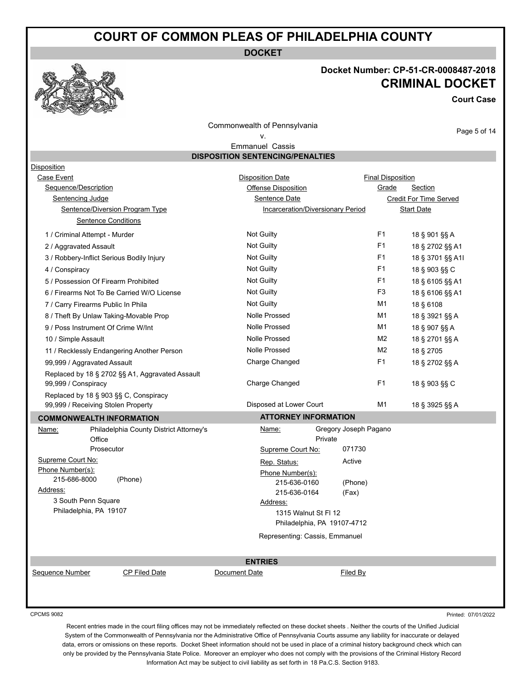**DOCKET**

#### **Docket Number: CP-51-CR-0008487-2018 CRIMINAL DOCKET**

**Court Case**

Page 5 of 14

Commonwealth of Pennsylvania

#### v. Emmanuel Cassis

**DISPOSITION SENTENCING/PENALTIES**

| Disposition                                |                                                 |                              |                                   |                          |                               |
|--------------------------------------------|-------------------------------------------------|------------------------------|-----------------------------------|--------------------------|-------------------------------|
| Case Event                                 |                                                 | <b>Disposition Date</b>      |                                   | <b>Final Disposition</b> |                               |
| Sequence/Description                       |                                                 | Offense Disposition          |                                   | Grade                    | Section                       |
| Sentencing Judge                           |                                                 | <b>Sentence Date</b>         |                                   |                          | <b>Credit For Time Served</b> |
|                                            | Sentence/Diversion Program Type                 |                              | Incarceration/Diversionary Period |                          | <b>Start Date</b>             |
| <b>Sentence Conditions</b>                 |                                                 |                              |                                   |                          |                               |
| 1 / Criminal Attempt - Murder              |                                                 | Not Guilty                   |                                   | F <sub>1</sub>           | 18 § 901 §§ A                 |
| 2 / Aggravated Assault                     |                                                 | Not Guilty                   |                                   | F1                       | 18 § 2702 §§ A1               |
| 3 / Robbery-Inflict Serious Bodily Injury  |                                                 | <b>Not Guilty</b>            |                                   | F <sub>1</sub>           | 18 § 3701 §§ A1I              |
| 4 / Conspiracy                             |                                                 | Not Guilty                   |                                   | F1                       | 18 § 903 §§ C                 |
| 5 / Possession Of Firearm Prohibited       |                                                 | Not Guilty                   |                                   | F1                       | 18 § 6105 §§ A1               |
| 6 / Firearms Not To Be Carried W/O License |                                                 | Not Guilty                   |                                   | F <sub>3</sub>           | 18 § 6106 §§ A1               |
| 7 / Carry Firearms Public In Phila         |                                                 | Not Guilty                   |                                   | M1                       | 18 § 6108                     |
| 8 / Theft By Unlaw Taking-Movable Prop     |                                                 | <b>Nolle Prossed</b>         |                                   | M1                       | 18 § 3921 §§ A                |
| 9 / Poss Instrument Of Crime W/Int         |                                                 | <b>Nolle Prossed</b>         |                                   | M1                       | 18 § 907 §§ A                 |
| 10 / Simple Assault                        |                                                 | <b>Nolle Prossed</b>         |                                   | M <sub>2</sub>           | 18 § 2701 §§ A                |
|                                            | 11 / Recklessly Endangering Another Person      | <b>Nolle Prossed</b>         |                                   | M <sub>2</sub>           | 18 § 2705                     |
| 99,999 / Aggravated Assault                |                                                 | Charge Changed               |                                   | F1                       | 18 § 2702 §§ A                |
|                                            | Replaced by 18 § 2702 §§ A1, Aggravated Assault |                              |                                   |                          |                               |
| 99,999 / Conspiracy                        |                                                 | Charge Changed               |                                   | F <sub>1</sub>           | 18 § 903 §§ C                 |
| Replaced by 18 § 903 §§ C, Conspiracy      |                                                 |                              |                                   |                          |                               |
| 99,999 / Receiving Stolen Property         |                                                 | Disposed at Lower Court      |                                   | M1                       | 18 § 3925 §§ A                |
| <b>COMMONWEALTH INFORMATION</b>            |                                                 | <b>ATTORNEY INFORMATION</b>  |                                   |                          |                               |
| Name:                                      | Philadelphia County District Attorney's         | Name:                        | Gregory Joseph Pagano             |                          |                               |
| Office                                     |                                                 |                              | Private                           |                          |                               |
| Prosecutor                                 |                                                 | Supreme Court No:            | 071730                            |                          |                               |
| Supreme Court No:<br>Phone Number(s):      |                                                 | Rep. Status:                 | Active                            |                          |                               |
| 215-686-8000                               | (Phone)                                         | Phone Number(s):             |                                   |                          |                               |
| Address:                                   |                                                 | 215-636-0160<br>215-636-0164 | (Phone)<br>(Fax)                  |                          |                               |
| 3 South Penn Square                        |                                                 | Address:                     |                                   |                          |                               |
| Philadelphia, PA 19107                     |                                                 |                              | 1315 Walnut St FI 12              |                          |                               |
|                                            |                                                 |                              | Philadelphia, PA 19107-4712       |                          |                               |
|                                            |                                                 |                              | Representing: Cassis, Emmanuel    |                          |                               |
|                                            |                                                 |                              |                                   |                          |                               |
|                                            |                                                 | <b>ENTRIES</b>               |                                   |                          |                               |
| Sequence Number                            | <b>CP Filed Date</b>                            | Document Date                | Filed By                          |                          |                               |
|                                            |                                                 |                              |                                   |                          |                               |
|                                            |                                                 |                              |                                   |                          |                               |

CPCMS 9082

Printed: 07/01/2022

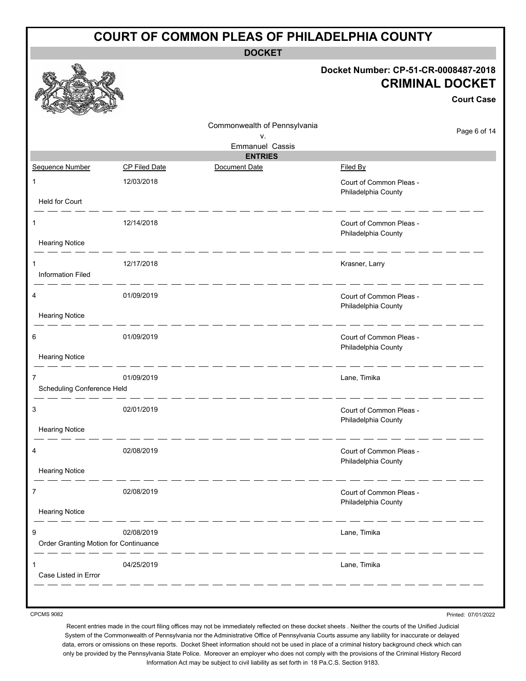| <b>COURT OF COMMON PLEAS OF PHILADELPHIA COUNTY</b> |                      |                              |                                                                                     |  |
|-----------------------------------------------------|----------------------|------------------------------|-------------------------------------------------------------------------------------|--|
|                                                     |                      | <b>DOCKET</b>                |                                                                                     |  |
|                                                     |                      |                              | Docket Number: CP-51-CR-0008487-2018<br><b>CRIMINAL DOCKET</b><br><b>Court Case</b> |  |
|                                                     |                      | Commonwealth of Pennsylvania | Page 6 of 14                                                                        |  |
|                                                     |                      | ν.<br><b>Emmanuel Cassis</b> |                                                                                     |  |
|                                                     |                      | <b>ENTRIES</b>               |                                                                                     |  |
| Sequence Number                                     | <b>CP Filed Date</b> | Document Date                | Filed By                                                                            |  |
| $\mathbf{1}$                                        | 12/03/2018           |                              | Court of Common Pleas -<br>Philadelphia County                                      |  |
| Held for Court                                      |                      |                              |                                                                                     |  |
| 1<br><b>Hearing Notice</b>                          | 12/14/2018           |                              | Court of Common Pleas -<br>Philadelphia County                                      |  |
| 1<br><b>Information Filed</b>                       | 12/17/2018           |                              | Krasner, Larry                                                                      |  |
| <b>Hearing Notice</b>                               | 01/09/2019           |                              | Court of Common Pleas -<br>Philadelphia County                                      |  |
|                                                     |                      |                              |                                                                                     |  |
| 6                                                   | 01/09/2019           |                              | Court of Common Pleas -<br>Philadelphia County                                      |  |
| <b>Hearing Notice</b>                               |                      |                              |                                                                                     |  |
| 7<br>Scheduling Conference Held                     | 01/09/2019           |                              | Lane, Timika                                                                        |  |
|                                                     |                      |                              |                                                                                     |  |
| 3                                                   | 02/01/2019           |                              | Court of Common Pleas -<br>Philadelphia County                                      |  |
| <b>Hearing Notice</b>                               |                      |                              |                                                                                     |  |
| 4                                                   | 02/08/2019           |                              | Court of Common Pleas -<br>Philadelphia County                                      |  |
| <b>Hearing Notice</b>                               |                      |                              |                                                                                     |  |
| 7<br><b>Hearing Notice</b>                          | 02/08/2019           |                              | Court of Common Pleas -<br>Philadelphia County                                      |  |
| 9<br>Order Granting Motion for Continuance          | 02/08/2019           |                              | Lane, Timika                                                                        |  |
| Case Listed in Error                                | 04/25/2019           |                              | Lane, Timika                                                                        |  |
|                                                     |                      |                              |                                                                                     |  |

Printed: 07/01/2022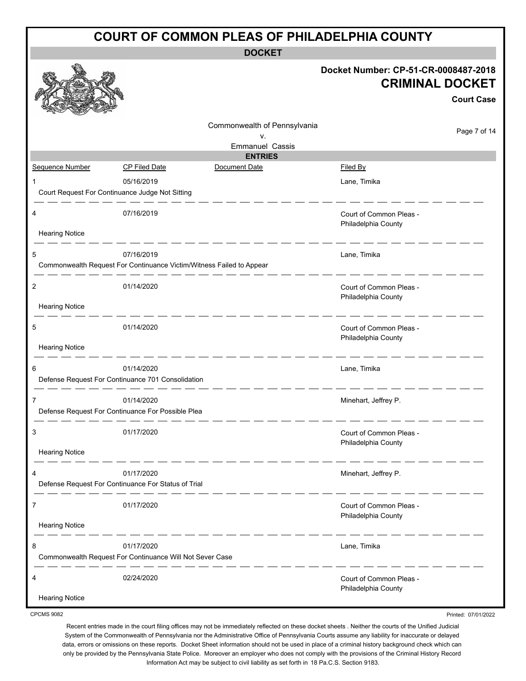| <b>COURT OF COMMON PLEAS OF PHILADELPHIA COUNTY</b> |                                                                      |                              |                                                                                     |  |
|-----------------------------------------------------|----------------------------------------------------------------------|------------------------------|-------------------------------------------------------------------------------------|--|
|                                                     |                                                                      | <b>DOCKET</b>                |                                                                                     |  |
|                                                     |                                                                      |                              | Docket Number: CP-51-CR-0008487-2018<br><b>CRIMINAL DOCKET</b><br><b>Court Case</b> |  |
|                                                     |                                                                      | Commonwealth of Pennsylvania | Page 7 of 14                                                                        |  |
|                                                     |                                                                      | ۷.<br><b>Emmanuel Cassis</b> |                                                                                     |  |
|                                                     |                                                                      | <b>ENTRIES</b>               |                                                                                     |  |
| Sequence Number                                     | <b>CP Filed Date</b>                                                 | Document Date                | <b>Filed By</b>                                                                     |  |
| 1                                                   | 05/16/2019<br>Court Request For Continuance Judge Not Sitting        |                              | Lane, Timika                                                                        |  |
| 4                                                   | 07/16/2019                                                           |                              | Court of Common Pleas -                                                             |  |
| <b>Hearing Notice</b>                               |                                                                      |                              | Philadelphia County                                                                 |  |
| 5                                                   | 07/16/2019                                                           |                              | Lane, Timika                                                                        |  |
|                                                     | Commonwealth Request For Continuance Victim/Witness Failed to Appear |                              |                                                                                     |  |
| 2                                                   | 01/14/2020                                                           |                              | Court of Common Pleas -                                                             |  |
| <b>Hearing Notice</b>                               |                                                                      |                              | Philadelphia County                                                                 |  |
| 5                                                   | 01/14/2020                                                           |                              | Court of Common Pleas -<br>Philadelphia County                                      |  |
| <b>Hearing Notice</b>                               |                                                                      |                              |                                                                                     |  |
| 6                                                   | 01/14/2020                                                           |                              | Lane, Timika                                                                        |  |
|                                                     | Defense Request For Continuance 701 Consolidation                    |                              |                                                                                     |  |
| 7                                                   | 01/14/2020                                                           |                              | Minehart, Jeffrey P.                                                                |  |
|                                                     | Defense Request For Continuance For Possible Plea                    |                              |                                                                                     |  |
| 3                                                   | 01/17/2020                                                           |                              | Court of Common Pleas -                                                             |  |
| <b>Hearing Notice</b>                               |                                                                      |                              | Philadelphia County                                                                 |  |
| 4                                                   | 01/17/2020                                                           |                              | Minehart, Jeffrey P.                                                                |  |
|                                                     | Defense Request For Continuance For Status of Trial                  |                              |                                                                                     |  |
| 7                                                   | 01/17/2020                                                           |                              | Court of Common Pleas -                                                             |  |
| <b>Hearing Notice</b>                               |                                                                      |                              | Philadelphia County                                                                 |  |
| 8                                                   | 01/17/2020                                                           |                              | Lane, Timika                                                                        |  |
|                                                     | Commonwealth Request For Continuance Will Not Sever Case             |                              |                                                                                     |  |
| 4                                                   | 02/24/2020                                                           |                              | Court of Common Pleas -                                                             |  |
| <b>Hearing Notice</b>                               |                                                                      |                              | Philadelphia County                                                                 |  |

Recent entries made in the court filing offices may not be immediately reflected on these docket sheets . Neither the courts of the Unified Judicial System of the Commonwealth of Pennsylvania nor the Administrative Office of Pennsylvania Courts assume any liability for inaccurate or delayed data, errors or omissions on these reports. Docket Sheet information should not be used in place of a criminal history background check which can only be provided by the Pennsylvania State Police. Moreover an employer who does not comply with the provisions of the Criminal History Record Information Act may be subject to civil liability as set forth in 18 Pa.C.S. Section 9183.

Printed: 07/01/2022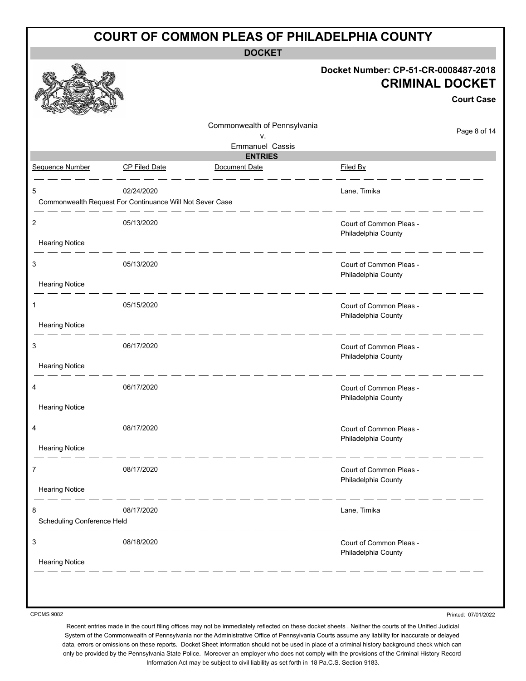|                                         |                                                                        |                                          | Docket Number: CP-51-CR-0008487-2018           |
|-----------------------------------------|------------------------------------------------------------------------|------------------------------------------|------------------------------------------------|
|                                         |                                                                        |                                          | <b>CRIMINAL DOCKET</b>                         |
|                                         |                                                                        |                                          | <b>Court Case</b>                              |
|                                         |                                                                        | Commonwealth of Pennsylvania<br>v.       | Page 8 of 14                                   |
|                                         |                                                                        | <b>Emmanuel Cassis</b><br><b>ENTRIES</b> |                                                |
| Sequence Number                         | <b>CP Filed Date</b>                                                   | Document Date                            | Filed By                                       |
|                                         | 02/24/2020<br>Commonwealth Request For Continuance Will Not Sever Case |                                          | Lane, Timika                                   |
| $\overline{2}$<br><b>Hearing Notice</b> | 05/13/2020                                                             |                                          | Court of Common Pleas -<br>Philadelphia County |
| 3                                       | 05/13/2020                                                             |                                          | Court of Common Pleas -<br>Philadelphia County |
| <b>Hearing Notice</b>                   |                                                                        |                                          |                                                |
|                                         | 05/15/2020                                                             |                                          | Court of Common Pleas -<br>Philadelphia County |
| <b>Hearing Notice</b>                   |                                                                        |                                          |                                                |
| 3<br><b>Hearing Notice</b>              | 06/17/2020                                                             |                                          | Court of Common Pleas -<br>Philadelphia County |
|                                         | 06/17/2020                                                             |                                          | Court of Common Pleas -<br>Philadelphia County |
| <b>Hearing Notice</b>                   |                                                                        |                                          |                                                |
| <b>Hearing Notice</b>                   | 08/17/2020                                                             |                                          | Court of Common Pleas -<br>Philadelphia County |
|                                         |                                                                        |                                          |                                                |
| 7<br><b>Hearing Notice</b>              | 08/17/2020                                                             |                                          | Court of Common Pleas -<br>Philadelphia County |
| Scheduling Conference Held              | 08/17/2020                                                             |                                          | Lane, Timika                                   |
| 3                                       | 08/18/2020                                                             |                                          | Court of Common Pleas -                        |
| <b>Hearing Notice</b>                   |                                                                        |                                          | Philadelphia County                            |

Printed: 07/01/2022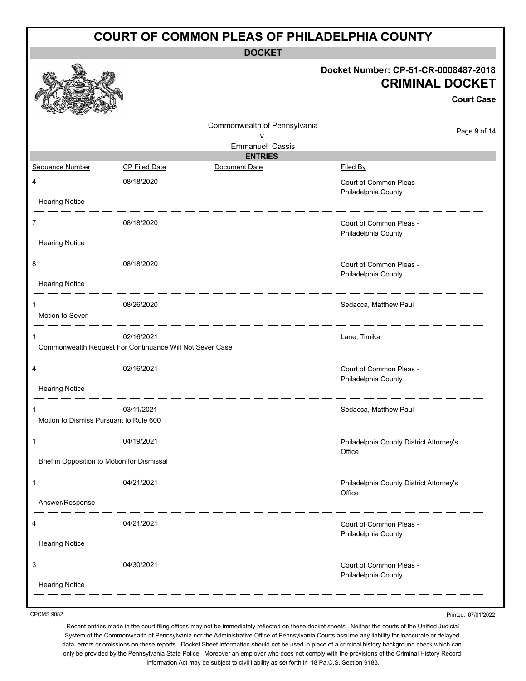| <b>COURT OF COMMON PLEAS OF PHILADELPHIA COUNTY</b> |                                                                        |                              |                                                                                     |  |
|-----------------------------------------------------|------------------------------------------------------------------------|------------------------------|-------------------------------------------------------------------------------------|--|
|                                                     |                                                                        | <b>DOCKET</b>                |                                                                                     |  |
|                                                     |                                                                        |                              | Docket Number: CP-51-CR-0008487-2018<br><b>CRIMINAL DOCKET</b><br><b>Court Case</b> |  |
|                                                     |                                                                        | Commonwealth of Pennsylvania | Page 9 of 14                                                                        |  |
|                                                     |                                                                        | ٧.<br><b>Emmanuel Cassis</b> |                                                                                     |  |
|                                                     |                                                                        | <b>ENTRIES</b>               |                                                                                     |  |
| Sequence Number                                     | <b>CP Filed Date</b>                                                   | Document Date                | Filed By                                                                            |  |
| 4                                                   | 08/18/2020                                                             |                              | Court of Common Pleas -<br>Philadelphia County                                      |  |
| <b>Hearing Notice</b>                               |                                                                        |                              |                                                                                     |  |
| 7<br><b>Hearing Notice</b>                          | 08/18/2020                                                             |                              | Court of Common Pleas -<br>Philadelphia County                                      |  |
| 8                                                   | 08/18/2020                                                             |                              | Court of Common Pleas -<br>Philadelphia County                                      |  |
| <b>Hearing Notice</b>                               |                                                                        |                              |                                                                                     |  |
| 1<br>Motion to Sever                                | 08/26/2020                                                             |                              | Sedacca, Matthew Paul                                                               |  |
|                                                     | 02/16/2021<br>Commonwealth Request For Continuance Will Not Sever Case |                              | Lane, Timika                                                                        |  |
| 4                                                   | 02/16/2021                                                             |                              | Court of Common Pleas -<br>Philadelphia County                                      |  |
| <b>Hearing Notice</b>                               |                                                                        |                              |                                                                                     |  |
| Motion to Dismiss Pursuant to Rule 600              | 03/11/2021                                                             |                              | Sedacca. Matthew Paul                                                               |  |
|                                                     | 04/19/2021                                                             |                              | Philadelphia County District Attorney's<br>Office                                   |  |
| Brief in Opposition to Motion for Dismissal         |                                                                        |                              |                                                                                     |  |
| 1                                                   | 04/21/2021                                                             |                              | Philadelphia County District Attorney's<br>Office                                   |  |
| Answer/Response                                     |                                                                        |                              |                                                                                     |  |
| 4                                                   | 04/21/2021                                                             |                              | Court of Common Pleas -<br>Philadelphia County                                      |  |
| <b>Hearing Notice</b>                               |                                                                        |                              |                                                                                     |  |
| 3                                                   | 04/30/2021                                                             |                              | Court of Common Pleas -<br>Philadelphia County                                      |  |
| <b>Hearing Notice</b>                               |                                                                        |                              |                                                                                     |  |

Printed: 07/01/2022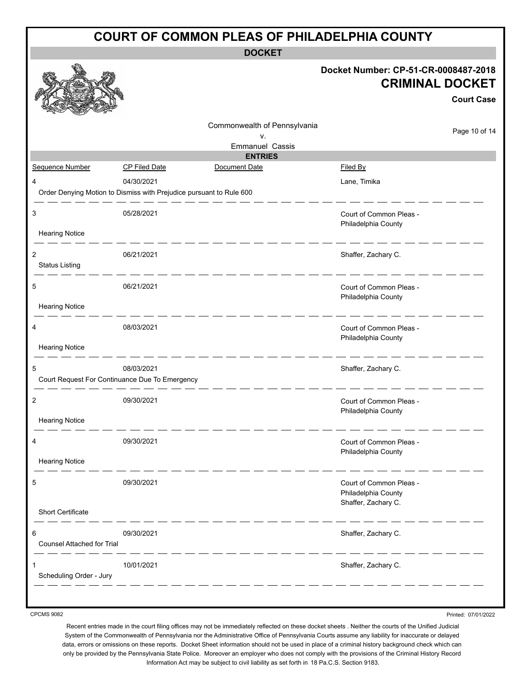|                                        | <b>COURT OF COMMON PLEAS OF PHILADELPHIA COUNTY</b>                 |                              |                                                                                     |  |  |
|----------------------------------------|---------------------------------------------------------------------|------------------------------|-------------------------------------------------------------------------------------|--|--|
|                                        |                                                                     | <b>DOCKET</b>                |                                                                                     |  |  |
|                                        |                                                                     |                              | Docket Number: CP-51-CR-0008487-2018<br><b>CRIMINAL DOCKET</b><br><b>Court Case</b> |  |  |
|                                        |                                                                     | Commonwealth of Pennsylvania | Page 10 of 14                                                                       |  |  |
|                                        |                                                                     | ٧.<br><b>Emmanuel Cassis</b> |                                                                                     |  |  |
|                                        |                                                                     | <b>ENTRIES</b>               |                                                                                     |  |  |
| Sequence Number                        | <b>CP Filed Date</b>                                                | Document Date                | Filed By                                                                            |  |  |
| 4                                      | 04/30/2021                                                          |                              | Lane, Timika                                                                        |  |  |
|                                        | Order Denying Motion to Dismiss with Prejudice pursuant to Rule 600 |                              |                                                                                     |  |  |
| 3<br><b>Hearing Notice</b>             | 05/28/2021                                                          |                              | Court of Common Pleas -<br>Philadelphia County                                      |  |  |
|                                        |                                                                     |                              |                                                                                     |  |  |
| 2<br><b>Status Listing</b>             | 06/21/2021                                                          |                              | Shaffer, Zachary C.                                                                 |  |  |
| 5                                      | 06/21/2021                                                          |                              | Court of Common Pleas -<br>Philadelphia County                                      |  |  |
| <b>Hearing Notice</b>                  |                                                                     |                              |                                                                                     |  |  |
| 4                                      | 08/03/2021                                                          |                              | Court of Common Pleas -<br>Philadelphia County                                      |  |  |
| <b>Hearing Notice</b>                  |                                                                     |                              |                                                                                     |  |  |
| 5                                      | 08/03/2021<br>Court Request For Continuance Due To Emergency        |                              | Shaffer, Zachary C.                                                                 |  |  |
| 2                                      | 09/30/2021                                                          |                              | Court of Common Pleas -<br>Philadelphia County                                      |  |  |
| <b>Hearing Notice</b>                  |                                                                     |                              |                                                                                     |  |  |
| 4                                      | 09/30/2021                                                          |                              | Court of Common Pleas -<br>Philadelphia County                                      |  |  |
| <b>Hearing Notice</b>                  |                                                                     |                              |                                                                                     |  |  |
| 5                                      | 09/30/2021                                                          |                              | Court of Common Pleas -<br>Philadelphia County<br>Shaffer, Zachary C.               |  |  |
| <b>Short Certificate</b>               |                                                                     |                              |                                                                                     |  |  |
| 6<br><b>Counsel Attached for Trial</b> | 09/30/2021                                                          |                              | Shaffer, Zachary C.                                                                 |  |  |
| Scheduling Order - Jury                | 10/01/2021                                                          |                              | Shaffer, Zachary C.                                                                 |  |  |
|                                        |                                                                     |                              |                                                                                     |  |  |

Printed: 07/01/2022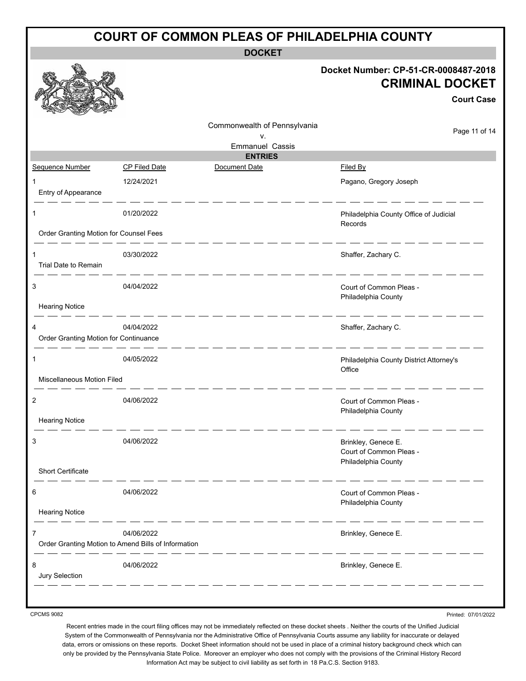|                                            | <b>COURT OF COMMON PLEAS OF PHILADELPHIA COUNTY</b>               |                              |                                                                                     |  |  |
|--------------------------------------------|-------------------------------------------------------------------|------------------------------|-------------------------------------------------------------------------------------|--|--|
|                                            |                                                                   | <b>DOCKET</b>                |                                                                                     |  |  |
|                                            |                                                                   |                              | Docket Number: CP-51-CR-0008487-2018<br><b>CRIMINAL DOCKET</b><br><b>Court Case</b> |  |  |
|                                            |                                                                   | Commonwealth of Pennsylvania | Page 11 of 14                                                                       |  |  |
|                                            |                                                                   | ٧.<br><b>Emmanuel Cassis</b> |                                                                                     |  |  |
|                                            |                                                                   | <b>ENTRIES</b>               |                                                                                     |  |  |
| Sequence Number                            | <b>CP Filed Date</b>                                              | Document Date                | Filed By                                                                            |  |  |
| Entry of Appearance                        | 12/24/2021                                                        |                              | Pagano, Gregory Joseph                                                              |  |  |
| 1                                          | 01/20/2022                                                        |                              | Philadelphia County Office of Judicial<br>Records                                   |  |  |
| Order Granting Motion for Counsel Fees     |                                                                   |                              |                                                                                     |  |  |
| Trial Date to Remain                       | 03/30/2022                                                        |                              | Shaffer, Zachary C.                                                                 |  |  |
| 3                                          | 04/04/2022                                                        |                              | Court of Common Pleas -<br>Philadelphia County                                      |  |  |
| <b>Hearing Notice</b>                      |                                                                   |                              |                                                                                     |  |  |
| 4<br>Order Granting Motion for Continuance | 04/04/2022                                                        |                              | Shaffer, Zachary C.                                                                 |  |  |
| 1                                          | 04/05/2022                                                        |                              | Philadelphia County District Attorney's<br>Office                                   |  |  |
| <b>Miscellaneous Motion Filed</b>          |                                                                   |                              |                                                                                     |  |  |
| 2                                          | 04/06/2022                                                        |                              | Court of Common Pleas -<br>Philadelphia County                                      |  |  |
| <b>Hearing Notice</b>                      |                                                                   |                              |                                                                                     |  |  |
| 3                                          | 04/06/2022                                                        |                              | Brinkley, Genece E.<br>Court of Common Pleas -<br>Philadelphia County               |  |  |
| Short Certificate                          |                                                                   |                              |                                                                                     |  |  |
| 6<br><b>Hearing Notice</b>                 | 04/06/2022                                                        |                              | Court of Common Pleas -<br>Philadelphia County                                      |  |  |
|                                            | 04/06/2022<br>Order Granting Motion to Amend Bills of Information |                              | Brinkley, Genece E.                                                                 |  |  |
| 8<br>Jury Selection                        | 04/06/2022                                                        |                              | Brinkley, Genece E.                                                                 |  |  |
|                                            |                                                                   |                              |                                                                                     |  |  |

Printed: 07/01/2022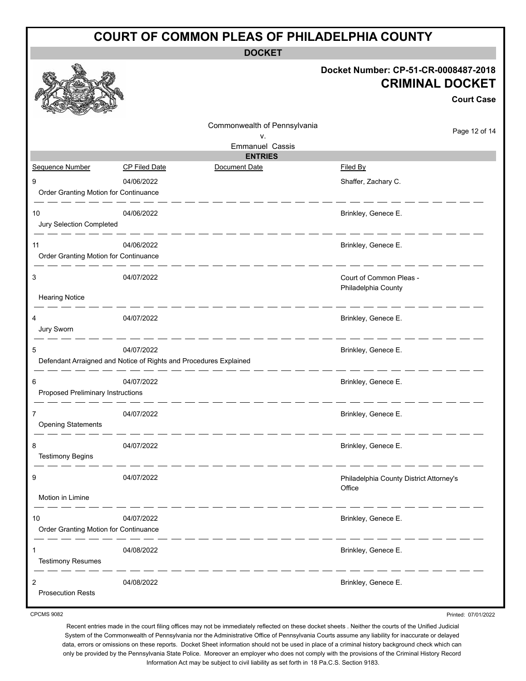## **COURT OF COMMON PLEAS OF PHILADELPHIA COUNTY DOCKET Docket Number: CP-51-CR-0008487-2018 CRIMINAL DOCKET Court Case** Commonwealth of Pennsylvania Page 12 of 14 v. Emmanuel Cassis **ENTRIES** Sequence Number CP Filed Date Document Date **Document Date** Filed By 9 04/06/2022 Shaffer, Zachary C. Order Granting Motion for Continuance 10 04/06/2022 04/06/2022 10 05/06/2022 04/06/2022 Jury Selection Completed  $\qquad \qquad \qquad -\qquad -\qquad -$ 11 between the control of the control of the control of the control of the control of the control of the control of the control of the control of the control of the control of the control of the control of the control of t Order Granting Motion for Continuance 3 04/07/2022 Court of Common Pleas - Philadelphia County Hearing Notice 4 04/07/2022 Brinkley, Genece E. Jury Sworn 5 04/07/2022 **Brinkley, Genece E.** Defendant Arraigned and Notice of Rights and Procedures Explained 6 04/07/2022 Brinkley, Genece E.

7 **1 12 04/07/2022 DA/07/2022 Brinkley, Genece E.** Opening Statements . .

Proposed Preliminary Instructions

8 04/07/2022 **Brinkley, Genece E.** Testimony Begins 9 04/07/2022 Philadelphia County District Attorney's **Office** Motion in Limine 10 04/07/2022 04/07/2022 Brinkley, Genece E. Order Granting Motion for Continuance للمستنصف المستندان 1 04/08/2022 Brinkley, Genece E. Testimony Resumes 2 04/08/2022 Brinkley, Genece E. Prosecution Rests

CPCMS 9082

Printed: 07/01/2022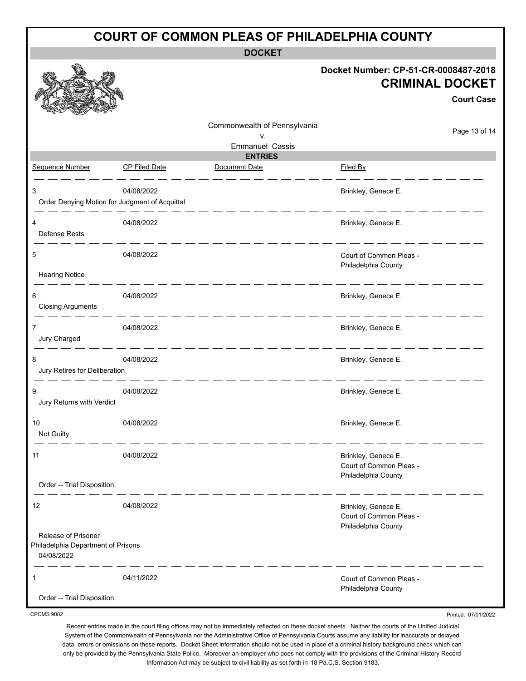| <b>COURT OF COMMON PLEAS OF PHILADELPHIA COUNTY</b>                     |                      |                              |                                                                       |                                             |  |  |  |
|-------------------------------------------------------------------------|----------------------|------------------------------|-----------------------------------------------------------------------|---------------------------------------------|--|--|--|
| <b>DOCKET</b>                                                           |                      |                              |                                                                       |                                             |  |  |  |
|                                                                         |                      |                              | Docket Number: CP-51-CR-0008487-2018                                  | <b>CRIMINAL DOCKET</b><br><b>Court Case</b> |  |  |  |
|                                                                         |                      | Commonwealth of Pennsylvania |                                                                       | Page 13 of 14                               |  |  |  |
|                                                                         |                      | ٧.<br><b>Emmanuel Cassis</b> |                                                                       |                                             |  |  |  |
|                                                                         |                      | <b>ENTRIES</b>               |                                                                       |                                             |  |  |  |
| Sequence Number                                                         | <b>CP Filed Date</b> | Document Date                | Filed By                                                              |                                             |  |  |  |
| 3<br>Order Denying Motion for Judgment of Acquittal                     | 04/08/2022           |                              | Brinkley, Genece E.                                                   |                                             |  |  |  |
| Defense Rests                                                           | 04/08/2022           |                              | Brinkley, Genece E.                                                   |                                             |  |  |  |
| 5<br><b>Hearing Notice</b>                                              | 04/08/2022           |                              | Court of Common Pleas -<br>Philadelphia County                        |                                             |  |  |  |
| 6<br><b>Closing Arguments</b>                                           | 04/08/2022           |                              | Brinkley, Genece E.                                                   |                                             |  |  |  |
| 7<br>Jury Charged                                                       | 04/08/2022           |                              | Brinkley, Genece E.                                                   |                                             |  |  |  |
| 8<br>Jury Retires for Deliberation                                      | 04/08/2022           |                              | Brinkley, Genece E.                                                   |                                             |  |  |  |
| 9<br>Jury Returns with Verdict                                          | 04/08/2022           |                              | Brinkley, Genece E.                                                   |                                             |  |  |  |
| 10<br>Not Guilty                                                        | 04/08/2022           |                              | Brinkley, Genece E.                                                   |                                             |  |  |  |
| 11                                                                      | 04/08/2022           |                              | Brinkley, Genece E.<br>Court of Common Pleas -<br>Philadelphia County |                                             |  |  |  |
| Order -- Trial Disposition                                              |                      |                              |                                                                       |                                             |  |  |  |
| 12                                                                      | 04/08/2022           |                              | Brinkley, Genece E.<br>Court of Common Pleas -<br>Philadelphia County |                                             |  |  |  |
| Release of Prisoner<br>Philadelphia Department of Prisons<br>04/08/2022 |                      |                              |                                                                       |                                             |  |  |  |
| 1<br>Order -- Trial Disposition                                         | 04/11/2022           |                              | Court of Common Pleas -<br>Philadelphia County                        |                                             |  |  |  |
| <b>CPCMS 9082</b>                                                       |                      |                              |                                                                       | Printed: 07/01/2022                         |  |  |  |